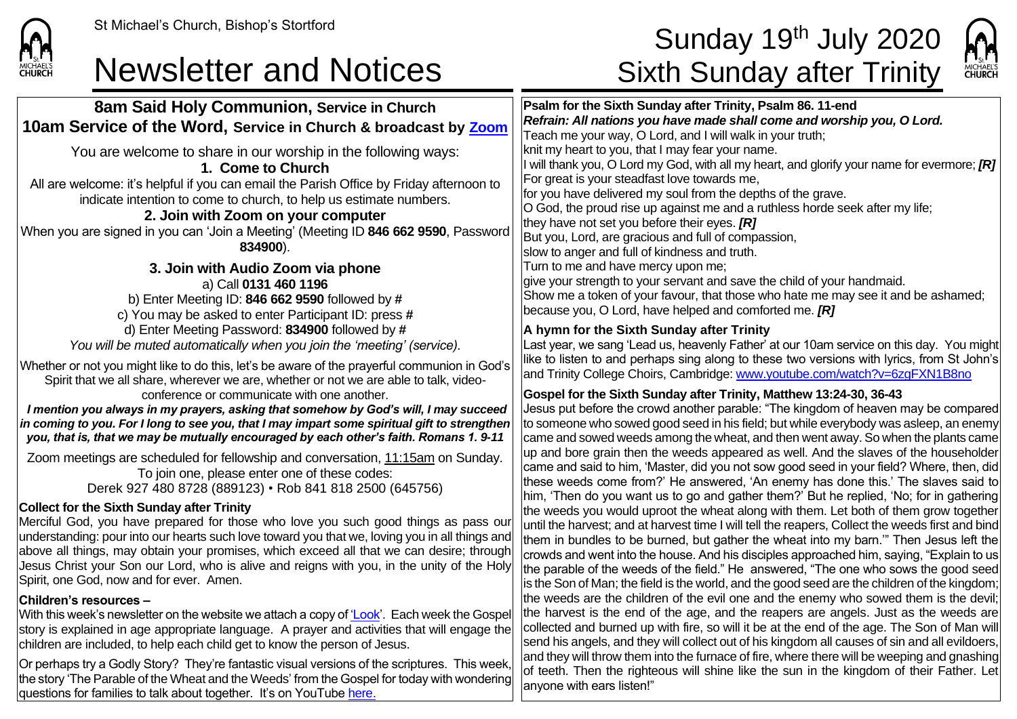

## Newsletter and Notices Sixth Sunday after Trinity

**8am Said Holy Communion, Service in Church 10am Service of the Word, Service in Church & broadcast by [Zoom](https://zoom.us/)**

You are welcome to share in our worship in the following ways: **1. Come to Church** All are welcome: it's helpful if you can email the Parish Office by Friday afternoon to indicate intention to come to church, to help us estimate numbers. **2. Join with Zoom on your computer** When you are signed in you can 'Join a Meeting' (Meeting ID **846 662 9590**, Password **834900**). **3. Join with Audio Zoom via phone** a) Call **0131 460 1196** b) Enter Meeting ID: **846 662 9590** followed by **#** c) You may be asked to enter Participant ID: press **#**

## St Michael's Church, Bishop's Stortford  $\textsf{Sunday 19}^{\textsf{th}}$  July 2020



**Psalm for the Sixth Sunday after Trinity, Psalm 86. 11-end** *Refrain: All nations you have made shall come and worship you, O Lord.* Teach me your way, O Lord, and I will walk in your truth; knit my heart to you, that I may fear your name. I will thank you, O Lord my God, with all my heart, and glorify your name for evermore; *[R]* For great is your steadfast love towards me, for you have delivered my soul from the depths of the grave. O God, the proud rise up against me and a ruthless horde seek after my life; they have not set you before their eyes. *[R]* But you, Lord, are gracious and full of compassion, slow to anger and full of kindness and truth. Turn to me and have mercy upon me; lgive your strength to your servant and save the child of your handmaid. Show me a token of your favour, that those who hate me may see it and be ashamed; because you, O Lord, have helped and comforted me. *[R]*

#### **A hymn for the Sixth Sunday after Trinity**

Last year, we sang 'Lead us, heavenly Father' at our 10am service on this day. You might like to listen to and perhaps sing along to these two versions with lyrics, from St John's and Trinity College Choirs, Cambridge: [www.youtube.com/watch?v=6zgFXN1B8no](http://www.youtube.com/watch?v=6zgFXN1B8no)

### **Gospel for the Sixth Sunday after Trinity, Matthew 13:24-30, 36-43**

Jesus put before the crowd another parable: "The kingdom of heaven may be compared to someone who sowed good seed in his field; but while everybody was asleep, an enemy came and sowed weeds among the wheat, and then went away. So when the plants came up and bore grain then the weeds appeared as well. And the slaves of the householder came and said to him, 'Master, did you not sow good seed in your field? Where, then, did these weeds come from?' He answered, 'An enemy has done this.' The slaves said to him, 'Then do you want us to go and gather them?' But he replied, 'No; for in gathering the weeds you would uproot the wheat along with them. Let both of them grow together until the harvest; and at harvest time I will tell the reapers, Collect the weeds first and bind them in bundles to be burned, but gather the wheat into my barn." Then Jesus left the crowds and went into the house. And his disciples approached him, saying, "Explain to us the parable of the weeds of the field." He answered, "The one who sows the good seed is the Son of Man; the field is the world, and the good seed are the children of the kingdom; the weeds are the children of the evil one and the enemy who sowed them is the devil; the harvest is the end of the age, and the reapers are angels. Just as the weeds are collected and burned up with fire, so will it be at the end of the age. The Son of Man will send his angels, and they will collect out of his kingdom all causes of sin and all evildoers, and they will throw them into the furnace of fire, where there will be weeping and gnashing of teeth. Then the righteous will shine like the sun in the kingdom of their Father. Let anyone with ears listen!"

d) Enter Meeting Password: **834900** followed by **#** *You will be muted automatically when you join the 'meeting' (service).* Whether or not you might like to do this, let's be aware of the prayerful communion in God's Spirit that we all share, wherever we are, whether or not we are able to talk, videoconference or communicate with one another.

*I mention you always in my prayers, asking that somehow by God's will, I may succeed in coming to you. For I long to see you, that I may impart some spiritual gift to strengthen you, that is, that we may be mutually encouraged by each other's faith. Romans 1. 9-11*

Zoom meetings are scheduled for fellowship and conversation, 11:15am on Sunday. To join one, please enter one of these codes: Derek 927 480 8728 (889123) • Rob 841 818 2500 (645756)

### **Collect for the Sixth Sunday after Trinity**

Merciful God, you have prepared for those who love you such good things as pass our understanding: pour into our hearts such love toward you that we, loving you in all things and above all things, may obtain your promises, which exceed all that we can desire; through Jesus Christ your Son our Lord, who is alive and reigns with you, in the unity of the Holy Spirit, one God, now and for ever. Amen.

#### **Children's resources –**

With this week's newsletter on the website we attach a copy o[f 'Look'.](https://saintmichaelweb.org.uk/Articles/542815/_Newsletter.aspx) Each week the Gospel story is explained in age appropriate language. A prayer and activities that will engage the children are included, to help each child get to know the person of Jesus.

Or perhaps try a Godly Story? They're fantastic visual versions of the scriptures. This week, the story 'The Parable of the Wheat and the Weeds' from the Gospel for today with wondering questions for families to talk about together. It's on YouTube [here.](https://www.youtube.com/watch?v=wW0JO8EjCjU)